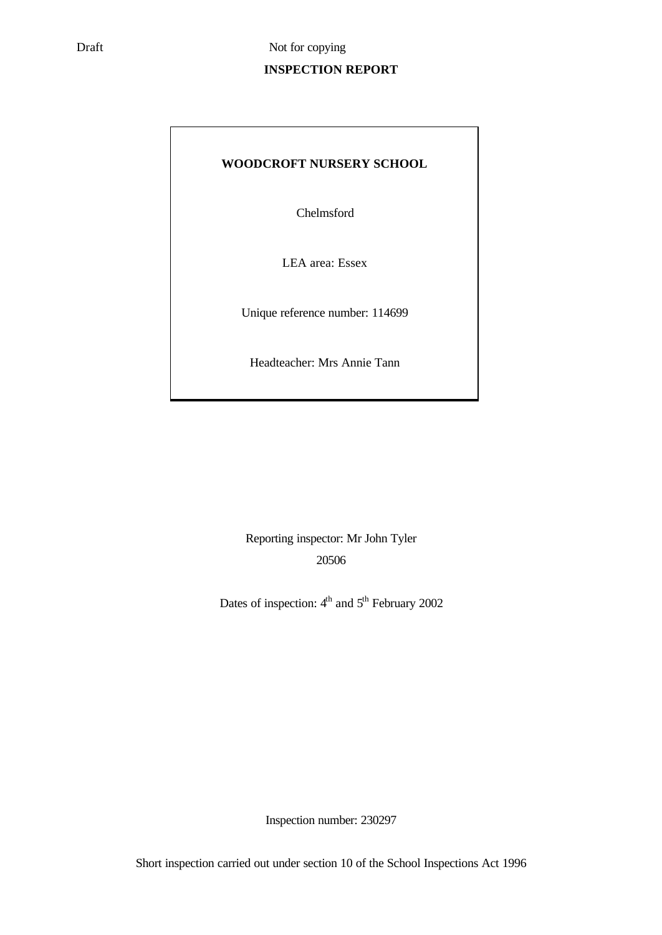# **INSPECTION REPORT**

# **WOODCROFT NURSERY SCHOOL**

Chelmsford

LEA area: Essex

Unique reference number: 114699

Headteacher: Mrs Annie Tann

Reporting inspector: Mr John Tyler 20506

Dates of inspection:  $4<sup>th</sup>$  and  $5<sup>th</sup>$  February 2002

Inspection number: 230297

Short inspection carried out under section 10 of the School Inspections Act 1996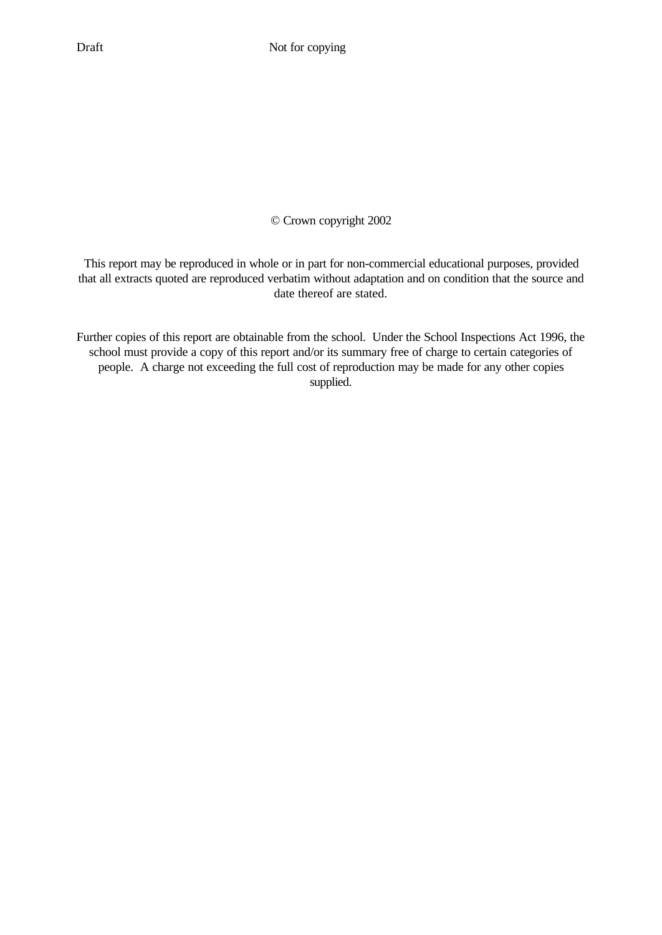# © Crown copyright 2002

This report may be reproduced in whole or in part for non-commercial educational purposes, provided that all extracts quoted are reproduced verbatim without adaptation and on condition that the source and date thereof are stated.

Further copies of this report are obtainable from the school. Under the School Inspections Act 1996, the school must provide a copy of this report and/or its summary free of charge to certain categories of people. A charge not exceeding the full cost of reproduction may be made for any other copies supplied.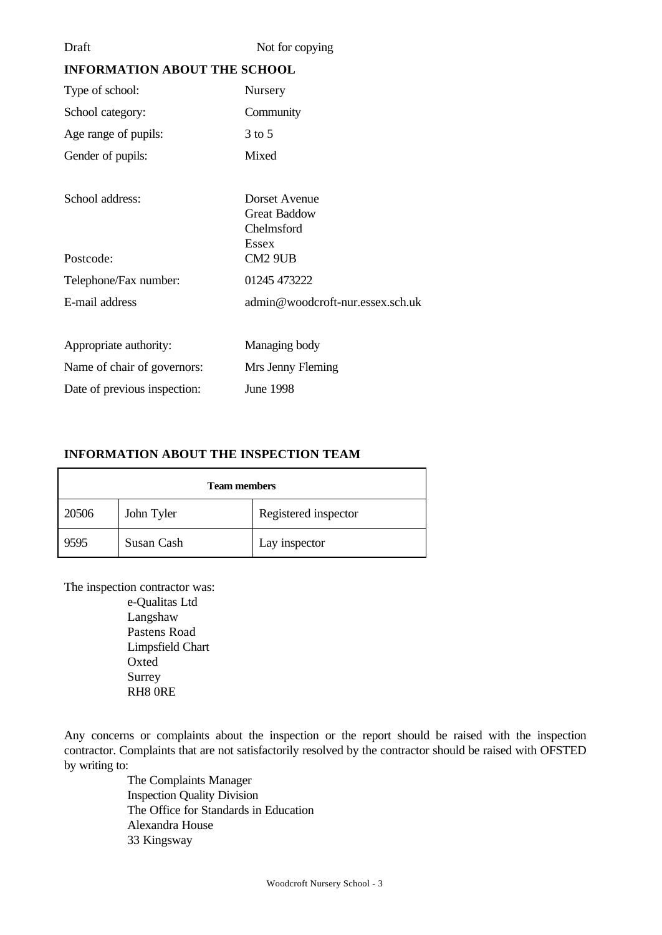Not for copying

# **INFORMATION ABOUT THE SCHOOL**

| Type of school:              | Nursery                          |
|------------------------------|----------------------------------|
| School category:             | Community                        |
| Age range of pupils:         | $3$ to 5                         |
| Gender of pupils:            | Mixed                            |
|                              |                                  |
| School address:              | Dorset Avenue                    |
|                              | <b>Great Baddow</b>              |
|                              | Chelmsford                       |
|                              | <b>Essex</b>                     |
| Postcode:                    | CM <sub>2</sub> 9UB              |
| Telephone/Fax number:        | 01245 473222                     |
| E-mail address               | admin@woodcroft-nur.essex.sch.uk |
|                              |                                  |
| Appropriate authority:       | Managing body                    |
| Name of chair of governors:  | Mrs Jenny Fleming                |
| Date of previous inspection: | <b>June 1998</b>                 |

# **INFORMATION ABOUT THE INSPECTION TEAM**

| <b>Team members</b> |            |                      |  |
|---------------------|------------|----------------------|--|
| 20506               | John Tyler | Registered inspector |  |
| 9595                | Susan Cash | Lay inspector        |  |

The inspection contractor was:

e-Qualitas Ltd Langshaw Pastens Road Limpsfield Chart Oxted Surrey RH8 0RE

Any concerns or complaints about the inspection or the report should be raised with the inspection contractor. Complaints that are not satisfactorily resolved by the contractor should be raised with OFSTED by writing to:

The Complaints Manager Inspection Quality Division The Office for Standards in Education Alexandra House 33 Kingsway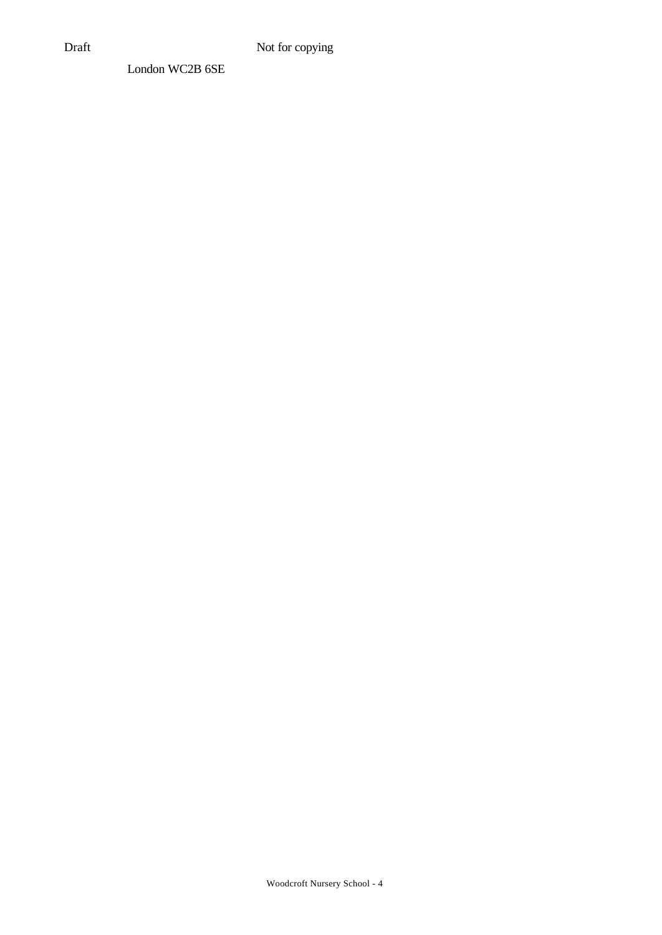London WC2B 6SE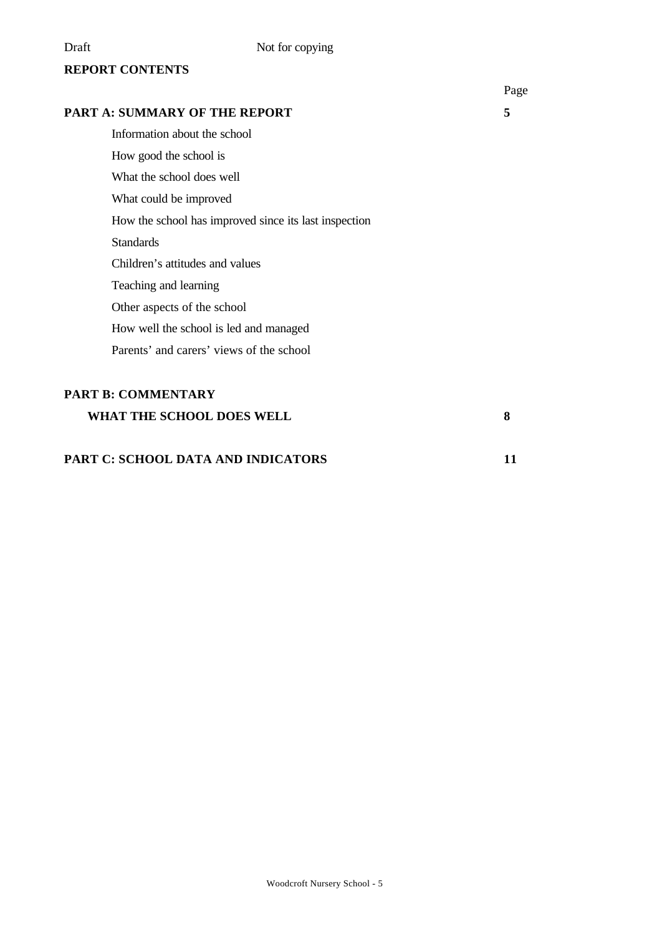# **REPORT CONTENTS**

# **PART A: SUMMARY OF THE REPORT 5**

Information about the school

How good the school is

What the school does well

What could be improved

How the school has improved since its last inspection

Standards

Children's attitudes and values

Teaching and learning

Other aspects of the school

How well the school is led and managed

Parents' and carers' views of the school

# **PART B: COMMENTARY**

**WHAT THE SCHOOL DOES WELL 8**

# **PART C: SCHOOL DATA AND INDICATORS 11**

Page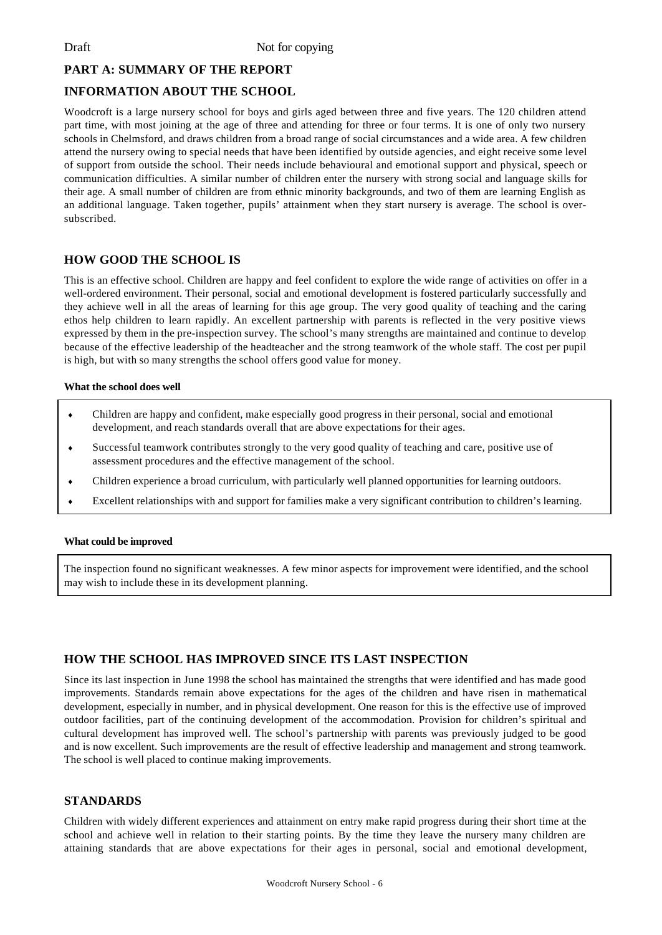Draft Not for copying

## **PART A: SUMMARY OF THE REPORT**

## **INFORMATION ABOUT THE SCHOOL**

Woodcroft is a large nursery school for boys and girls aged between three and five years. The 120 children attend part time, with most joining at the age of three and attending for three or four terms. It is one of only two nursery schools in Chelmsford, and draws children from a broad range of social circumstances and a wide area. A few children attend the nursery owing to special needs that have been identified by outside agencies, and eight receive some level of support from outside the school. Their needs include behavioural and emotional support and physical, speech or communication difficulties. A similar number of children enter the nursery with strong social and language skills for their age. A small number of children are from ethnic minority backgrounds, and two of them are learning English as an additional language. Taken together, pupils' attainment when they start nursery is average. The school is oversubscribed.

# **HOW GOOD THE SCHOOL IS**

This is an effective school. Children are happy and feel confident to explore the wide range of activities on offer in a well-ordered environment. Their personal, social and emotional development is fostered particularly successfully and they achieve well in all the areas of learning for this age group. The very good quality of teaching and the caring ethos help children to learn rapidly. An excellent partnership with parents is reflected in the very positive views expressed by them in the pre-inspection survey. The school's many strengths are maintained and continue to develop because of the effective leadership of the headteacher and the strong teamwork of the whole staff. The cost per pupil is high, but with so many strengths the school offers good value for money.

#### **What the school does well**

- Children are happy and confident, make especially good progress in their personal, social and emotional development, and reach standards overall that are above expectations for their ages.
- Successful teamwork contributes strongly to the very good quality of teaching and care, positive use of assessment procedures and the effective management of the school.
- Children experience a broad curriculum, with particularly well planned opportunities for learning outdoors.
- Excellent relationships with and support for families make a very significant contribution to children's learning.

#### **What could be improved**

The inspection found no significant weaknesses. A few minor aspects for improvement were identified, and the school may wish to include these in its development planning.

# **HOW THE SCHOOL HAS IMPROVED SINCE ITS LAST INSPECTION**

Since its last inspection in June 1998 the school has maintained the strengths that were identified and has made good improvements. Standards remain above expectations for the ages of the children and have risen in mathematical development, especially in number, and in physical development. One reason for this is the effective use of improved outdoor facilities, part of the continuing development of the accommodation. Provision for children's spiritual and cultural development has improved well. The school's partnership with parents was previously judged to be good and is now excellent. Such improvements are the result of effective leadership and management and strong teamwork. The school is well placed to continue making improvements.

### **STANDARDS**

Children with widely different experiences and attainment on entry make rapid progress during their short time at the school and achieve well in relation to their starting points. By the time they leave the nursery many children are attaining standards that are above expectations for their ages in personal, social and emotional development,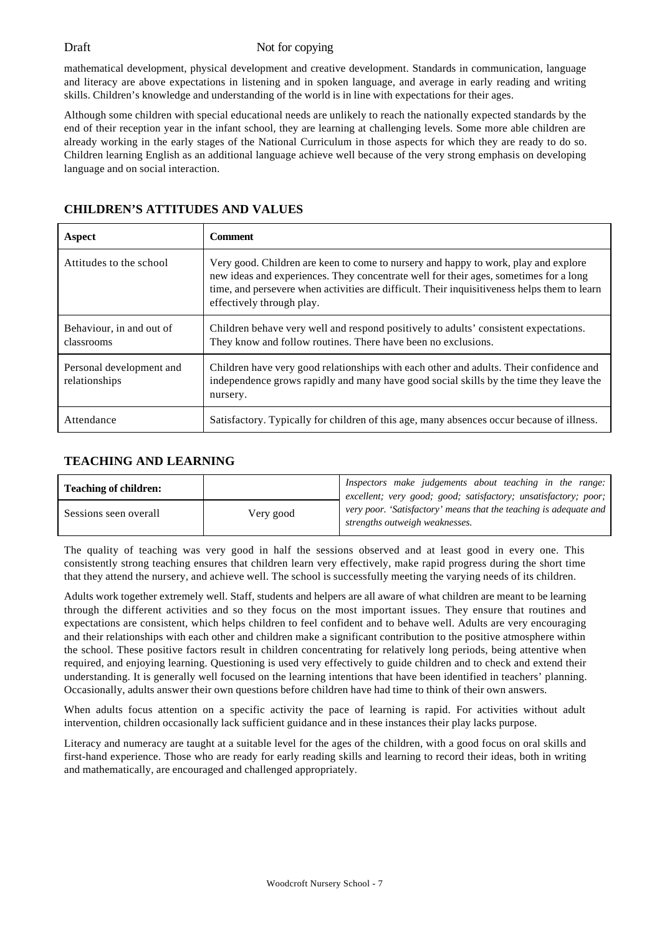### Draft Not for copying

mathematical development, physical development and creative development. Standards in communication, language and literacy are above expectations in listening and in spoken language, and average in early reading and writing skills. Children's knowledge and understanding of the world is in line with expectations for their ages.

Although some children with special educational needs are unlikely to reach the nationally expected standards by the end of their reception year in the infant school, they are learning at challenging levels. Some more able children are already working in the early stages of the National Curriculum in those aspects for which they are ready to do so. Children learning English as an additional language achieve well because of the very strong emphasis on developing language and on social interaction.

| Aspect                                    | Comment                                                                                                                                                                                                                                                                                                   |
|-------------------------------------------|-----------------------------------------------------------------------------------------------------------------------------------------------------------------------------------------------------------------------------------------------------------------------------------------------------------|
| Attitudes to the school                   | Very good. Children are keen to come to nursery and happy to work, play and explore<br>new ideas and experiences. They concentrate well for their ages, sometimes for a long<br>time, and persevere when activities are difficult. Their inquisitiveness helps them to learn<br>effectively through play. |
| Behaviour, in and out of<br>classrooms    | Children behave very well and respond positively to adults' consistent expectations.<br>They know and follow routines. There have been no exclusions.                                                                                                                                                     |
| Personal development and<br>relationships | Children have very good relationships with each other and adults. Their confidence and<br>independence grows rapidly and many have good social skills by the time they leave the<br>nursery.                                                                                                              |
| Attendance                                | Satisfactory. Typically for children of this age, many absences occur because of illness.                                                                                                                                                                                                                 |

# **CHILDREN'S ATTITUDES AND VALUES**

# **TEACHING AND LEARNING**

| <b>Teaching of children:</b> |           | Inspectors make judgements about teaching in the range:<br>excellent; very good; good; satisfactory; unsatisfactory; poor; |
|------------------------------|-----------|----------------------------------------------------------------------------------------------------------------------------|
| Sessions seen overall        | Very good | very poor. 'Satisfactory' means that the teaching is adequate and  <br>strengths outweigh weaknesses.                      |

The quality of teaching was very good in half the sessions observed and at least good in every one. This consistently strong teaching ensures that children learn very effectively, make rapid progress during the short time that they attend the nursery, and achieve well. The school is successfully meeting the varying needs of its children.

Adults work together extremely well. Staff, students and helpers are all aware of what children are meant to be learning through the different activities and so they focus on the most important issues. They ensure that routines and expectations are consistent, which helps children to feel confident and to behave well. Adults are very encouraging and their relationships with each other and children make a significant contribution to the positive atmosphere within the school. These positive factors result in children concentrating for relatively long periods, being attentive when required, and enjoying learning. Questioning is used very effectively to guide children and to check and extend their understanding. It is generally well focused on the learning intentions that have been identified in teachers' planning. Occasionally, adults answer their own questions before children have had time to think of their own answers.

When adults focus attention on a specific activity the pace of learning is rapid. For activities without adult intervention, children occasionally lack sufficient guidance and in these instances their play lacks purpose.

Literacy and numeracy are taught at a suitable level for the ages of the children, with a good focus on oral skills and first-hand experience. Those who are ready for early reading skills and learning to record their ideas, both in writing and mathematically, are encouraged and challenged appropriately.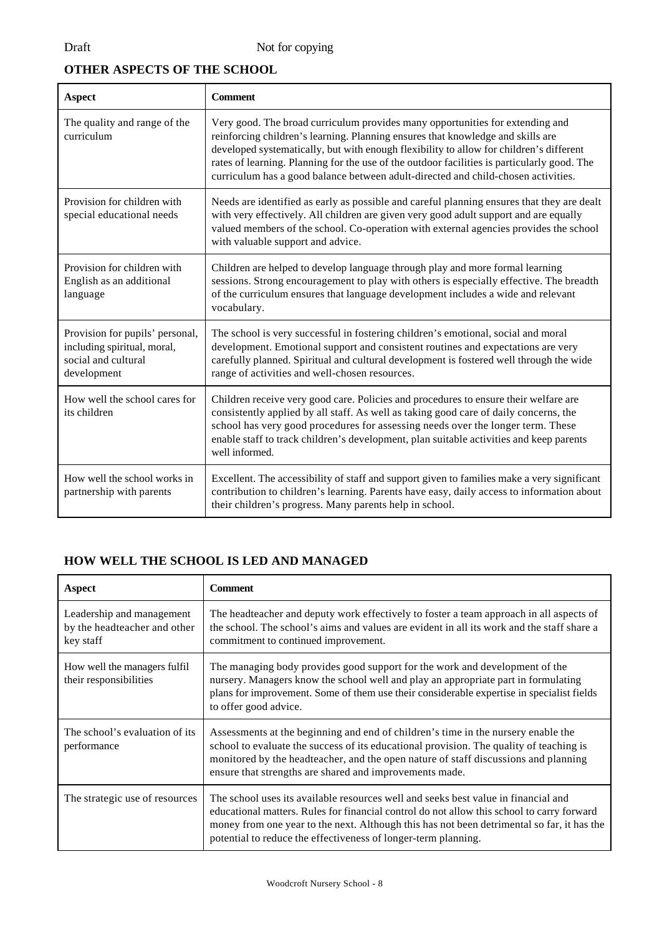# **OTHER ASPECTS OF THE SCHOOL**

| <b>Aspect</b>                                                                                        | <b>Comment</b>                                                                                                                                                                                                                                                                                                                                                                                                                                  |
|------------------------------------------------------------------------------------------------------|-------------------------------------------------------------------------------------------------------------------------------------------------------------------------------------------------------------------------------------------------------------------------------------------------------------------------------------------------------------------------------------------------------------------------------------------------|
| The quality and range of the<br>curriculum                                                           | Very good. The broad curriculum provides many opportunities for extending and<br>reinforcing children's learning. Planning ensures that knowledge and skills are<br>developed systematically, but with enough flexibility to allow for children's different<br>rates of learning. Planning for the use of the outdoor facilities is particularly good. The<br>curriculum has a good balance between adult-directed and child-chosen activities. |
| Provision for children with<br>special educational needs                                             | Needs are identified as early as possible and careful planning ensures that they are dealt<br>with very effectively. All children are given very good adult support and are equally<br>valued members of the school. Co-operation with external agencies provides the school<br>with valuable support and advice.                                                                                                                               |
| Provision for children with<br>English as an additional<br>language                                  | Children are helped to develop language through play and more formal learning<br>sessions. Strong encouragement to play with others is especially effective. The breadth<br>of the curriculum ensures that language development includes a wide and relevant<br>vocabulary.                                                                                                                                                                     |
| Provision for pupils' personal,<br>including spiritual, moral,<br>social and cultural<br>development | The school is very successful in fostering children's emotional, social and moral<br>development. Emotional support and consistent routines and expectations are very<br>carefully planned. Spiritual and cultural development is fostered well through the wide<br>range of activities and well-chosen resources.                                                                                                                              |
| How well the school cares for<br>its children                                                        | Children receive very good care. Policies and procedures to ensure their welfare are<br>consistently applied by all staff. As well as taking good care of daily concerns, the<br>school has very good procedures for assessing needs over the longer term. These<br>enable staff to track children's development, plan suitable activities and keep parents<br>well informed.                                                                   |
| How well the school works in<br>partnership with parents                                             | Excellent. The accessibility of staff and support given to families make a very significant<br>contribution to children's learning. Parents have easy, daily access to information about<br>their children's progress. Many parents help in school.                                                                                                                                                                                             |

# **HOW WELL THE SCHOOL IS LED AND MANAGED**

| Aspect                                                                 | Comment                                                                                                                                                                                                                                                                                                                                          |
|------------------------------------------------------------------------|--------------------------------------------------------------------------------------------------------------------------------------------------------------------------------------------------------------------------------------------------------------------------------------------------------------------------------------------------|
| Leadership and management<br>by the headteacher and other<br>key staff | The headteacher and deputy work effectively to foster a team approach in all aspects of<br>the school. The school's aims and values are evident in all its work and the staff share a<br>commitment to continued improvement.                                                                                                                    |
| How well the managers fulfil<br>their responsibilities                 | The managing body provides good support for the work and development of the<br>nursery. Managers know the school well and play an appropriate part in formulating<br>plans for improvement. Some of them use their considerable expertise in specialist fields<br>to offer good advice.                                                          |
| The school's evaluation of its<br>performance                          | Assessments at the beginning and end of children's time in the nursery enable the<br>school to evaluate the success of its educational provision. The quality of teaching is<br>monitored by the headteacher, and the open nature of staff discussions and planning<br>ensure that strengths are shared and improvements made.                   |
| The strategic use of resources                                         | The school uses its available resources well and seeks best value in financial and<br>educational matters. Rules for financial control do not allow this school to carry forward<br>money from one year to the next. Although this has not been detrimental so far, it has the<br>potential to reduce the effectiveness of longer-term planning. |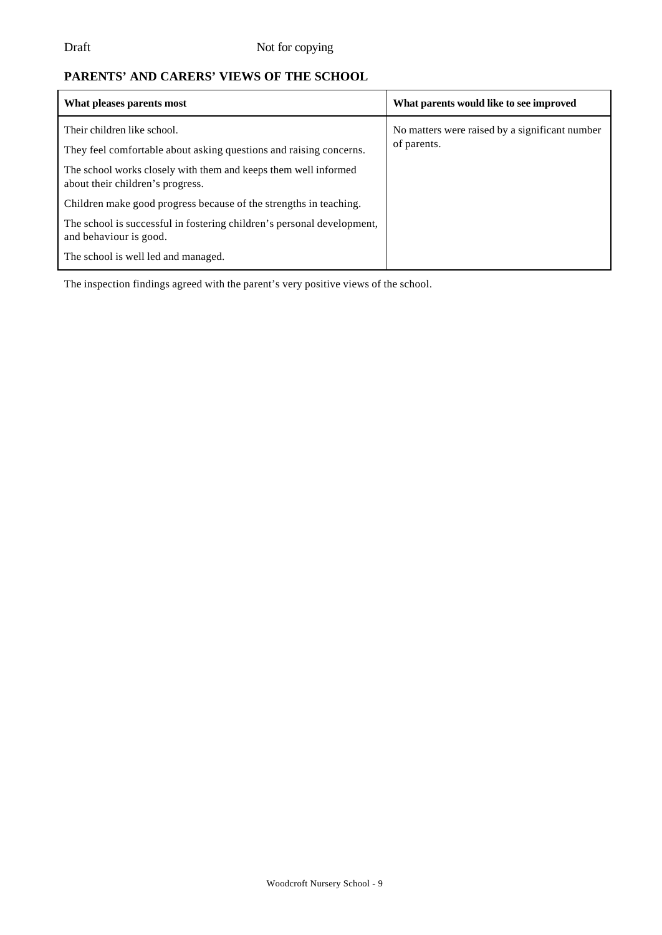# **PARENTS' AND CARERS' VIEWS OF THE SCHOOL**

| What pleases parents most                                                                           | What parents would like to see improved                       |
|-----------------------------------------------------------------------------------------------------|---------------------------------------------------------------|
| Their children like school.<br>They feel comfortable about asking questions and raising concerns.   | No matters were raised by a significant number<br>of parents. |
| The school works closely with them and keeps them well informed<br>about their children's progress. |                                                               |
| Children make good progress because of the strengths in teaching.                                   |                                                               |
| The school is successful in fostering children's personal development,<br>and behaviour is good.    |                                                               |
| The school is well led and managed.                                                                 |                                                               |

The inspection findings agreed with the parent's very positive views of the school.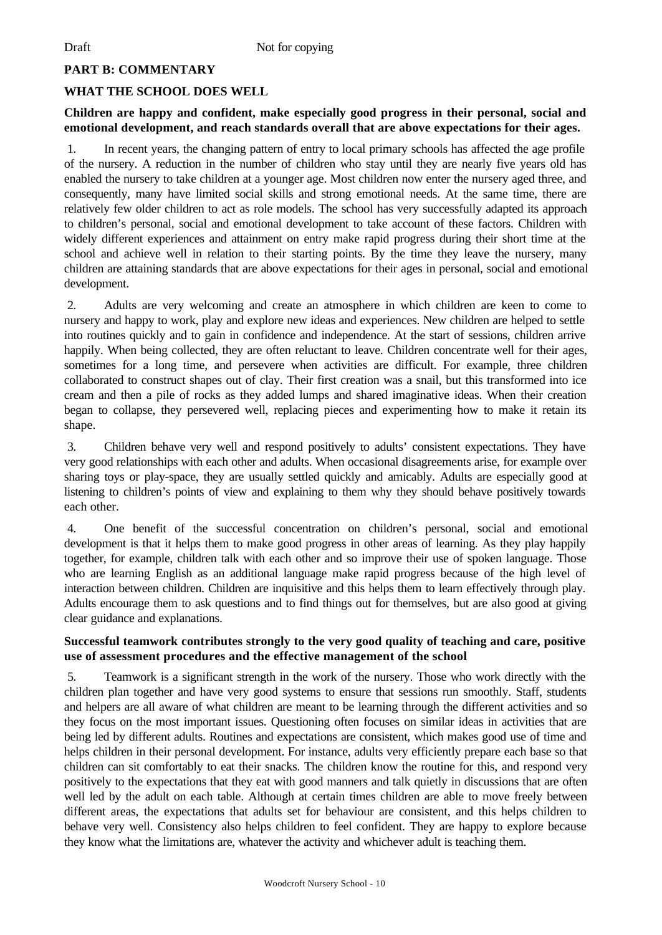# **PART B: COMMENTARY**

# **WHAT THE SCHOOL DOES WELL**

# **Children are happy and confident, make especially good progress in their personal, social and emotional development, and reach standards overall that are above expectations for their ages.**

1. In recent years, the changing pattern of entry to local primary schools has affected the age profile of the nursery. A reduction in the number of children who stay until they are nearly five years old has enabled the nursery to take children at a younger age. Most children now enter the nursery aged three, and consequently, many have limited social skills and strong emotional needs. At the same time, there are relatively few older children to act as role models. The school has very successfully adapted its approach to children's personal, social and emotional development to take account of these factors. Children with widely different experiences and attainment on entry make rapid progress during their short time at the school and achieve well in relation to their starting points. By the time they leave the nursery, many children are attaining standards that are above expectations for their ages in personal, social and emotional development.

2. Adults are very welcoming and create an atmosphere in which children are keen to come to nursery and happy to work, play and explore new ideas and experiences. New children are helped to settle into routines quickly and to gain in confidence and independence. At the start of sessions, children arrive happily. When being collected, they are often reluctant to leave. Children concentrate well for their ages, sometimes for a long time, and persevere when activities are difficult. For example, three children collaborated to construct shapes out of clay. Their first creation was a snail, but this transformed into ice cream and then a pile of rocks as they added lumps and shared imaginative ideas. When their creation began to collapse, they persevered well, replacing pieces and experimenting how to make it retain its shape.

3. Children behave very well and respond positively to adults' consistent expectations. They have very good relationships with each other and adults. When occasional disagreements arise, for example over sharing toys or play-space, they are usually settled quickly and amicably. Adults are especially good at listening to children's points of view and explaining to them why they should behave positively towards each other.

4. One benefit of the successful concentration on children's personal, social and emotional development is that it helps them to make good progress in other areas of learning. As they play happily together, for example, children talk with each other and so improve their use of spoken language. Those who are learning English as an additional language make rapid progress because of the high level of interaction between children. Children are inquisitive and this helps them to learn effectively through play. Adults encourage them to ask questions and to find things out for themselves, but are also good at giving clear guidance and explanations.

# **Successful teamwork contributes strongly to the very good quality of teaching and care, positive use of assessment procedures and the effective management of the school**

5. Teamwork is a significant strength in the work of the nursery. Those who work directly with the children plan together and have very good systems to ensure that sessions run smoothly. Staff, students and helpers are all aware of what children are meant to be learning through the different activities and so they focus on the most important issues. Questioning often focuses on similar ideas in activities that are being led by different adults. Routines and expectations are consistent, which makes good use of time and helps children in their personal development. For instance, adults very efficiently prepare each base so that children can sit comfortably to eat their snacks. The children know the routine for this, and respond very positively to the expectations that they eat with good manners and talk quietly in discussions that are often well led by the adult on each table. Although at certain times children are able to move freely between different areas, the expectations that adults set for behaviour are consistent, and this helps children to behave very well. Consistency also helps children to feel confident. They are happy to explore because they know what the limitations are, whatever the activity and whichever adult is teaching them.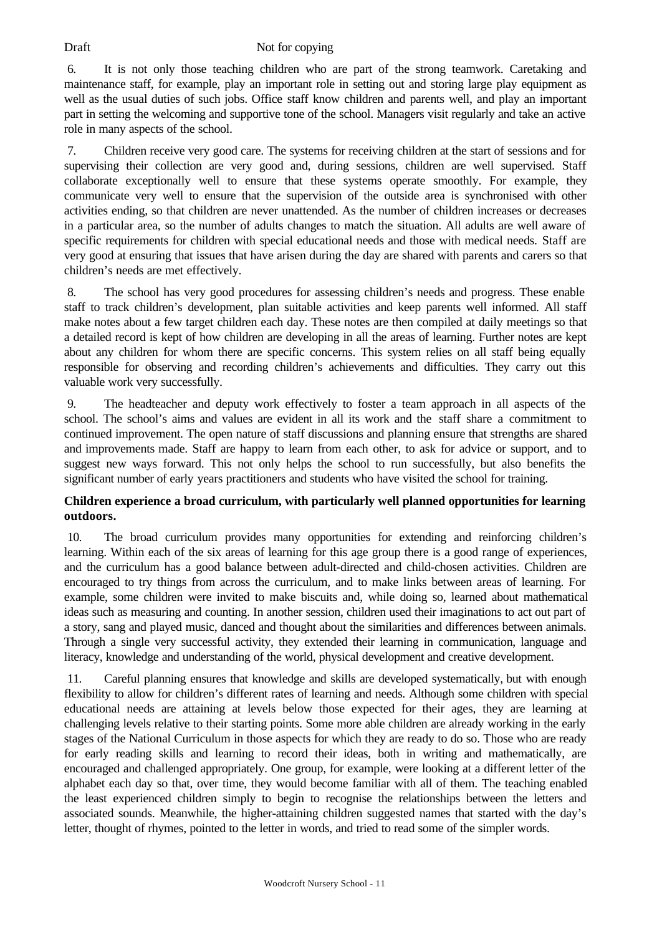6. It is not only those teaching children who are part of the strong teamwork. Caretaking and maintenance staff, for example, play an important role in setting out and storing large play equipment as well as the usual duties of such jobs. Office staff know children and parents well, and play an important part in setting the welcoming and supportive tone of the school. Managers visit regularly and take an active role in many aspects of the school.

7. Children receive very good care. The systems for receiving children at the start of sessions and for supervising their collection are very good and, during sessions, children are well supervised. Staff collaborate exceptionally well to ensure that these systems operate smoothly. For example, they communicate very well to ensure that the supervision of the outside area is synchronised with other activities ending, so that children are never unattended. As the number of children increases or decreases in a particular area, so the number of adults changes to match the situation. All adults are well aware of specific requirements for children with special educational needs and those with medical needs. Staff are very good at ensuring that issues that have arisen during the day are shared with parents and carers so that children's needs are met effectively.

8. The school has very good procedures for assessing children's needs and progress. These enable staff to track children's development, plan suitable activities and keep parents well informed. All staff make notes about a few target children each day. These notes are then compiled at daily meetings so that a detailed record is kept of how children are developing in all the areas of learning. Further notes are kept about any children for whom there are specific concerns. This system relies on all staff being equally responsible for observing and recording children's achievements and difficulties. They carry out this valuable work very successfully.

9. The headteacher and deputy work effectively to foster a team approach in all aspects of the school. The school's aims and values are evident in all its work and the staff share a commitment to continued improvement. The open nature of staff discussions and planning ensure that strengths are shared and improvements made. Staff are happy to learn from each other, to ask for advice or support, and to suggest new ways forward. This not only helps the school to run successfully, but also benefits the significant number of early years practitioners and students who have visited the school for training.

# **Children experience a broad curriculum, with particularly well planned opportunities for learning outdoors.**

10. The broad curriculum provides many opportunities for extending and reinforcing children's learning. Within each of the six areas of learning for this age group there is a good range of experiences, and the curriculum has a good balance between adult-directed and child-chosen activities. Children are encouraged to try things from across the curriculum, and to make links between areas of learning. For example, some children were invited to make biscuits and, while doing so, learned about mathematical ideas such as measuring and counting. In another session, children used their imaginations to act out part of a story, sang and played music, danced and thought about the similarities and differences between animals. Through a single very successful activity, they extended their learning in communication, language and literacy, knowledge and understanding of the world, physical development and creative development.

11. Careful planning ensures that knowledge and skills are developed systematically, but with enough flexibility to allow for children's different rates of learning and needs. Although some children with special educational needs are attaining at levels below those expected for their ages, they are learning at challenging levels relative to their starting points. Some more able children are already working in the early stages of the National Curriculum in those aspects for which they are ready to do so. Those who are ready for early reading skills and learning to record their ideas, both in writing and mathematically, are encouraged and challenged appropriately. One group, for example, were looking at a different letter of the alphabet each day so that, over time, they would become familiar with all of them. The teaching enabled the least experienced children simply to begin to recognise the relationships between the letters and associated sounds. Meanwhile, the higher-attaining children suggested names that started with the day's letter, thought of rhymes, pointed to the letter in words, and tried to read some of the simpler words.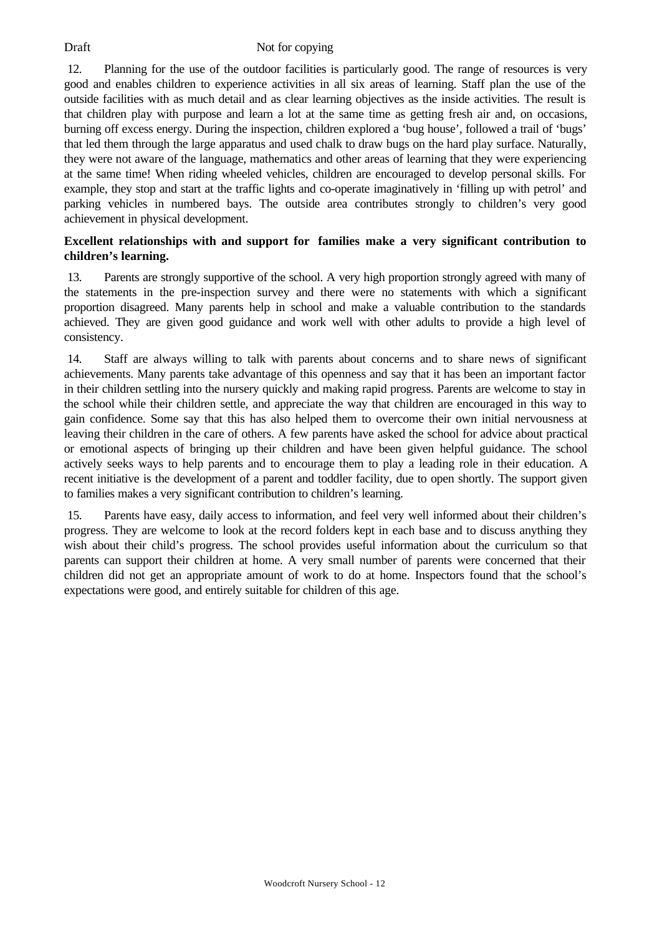12. Planning for the use of the outdoor facilities is particularly good. The range of resources is very good and enables children to experience activities in all six areas of learning. Staff plan the use of the outside facilities with as much detail and as clear learning objectives as the inside activities. The result is that children play with purpose and learn a lot at the same time as getting fresh air and, on occasions, burning off excess energy. During the inspection, children explored a 'bug house', followed a trail of 'bugs' that led them through the large apparatus and used chalk to draw bugs on the hard play surface. Naturally, they were not aware of the language, mathematics and other areas of learning that they were experiencing at the same time! When riding wheeled vehicles, children are encouraged to develop personal skills. For example, they stop and start at the traffic lights and co-operate imaginatively in 'filling up with petrol' and parking vehicles in numbered bays. The outside area contributes strongly to children's very good achievement in physical development.

# **Excellent relationships with and support for families make a very significant contribution to children's learning.**

13. Parents are strongly supportive of the school. A very high proportion strongly agreed with many of the statements in the pre-inspection survey and there were no statements with which a significant proportion disagreed. Many parents help in school and make a valuable contribution to the standards achieved. They are given good guidance and work well with other adults to provide a high level of consistency.

14. Staff are always willing to talk with parents about concerns and to share news of significant achievements. Many parents take advantage of this openness and say that it has been an important factor in their children settling into the nursery quickly and making rapid progress. Parents are welcome to stay in the school while their children settle, and appreciate the way that children are encouraged in this way to gain confidence. Some say that this has also helped them to overcome their own initial nervousness at leaving their children in the care of others. A few parents have asked the school for advice about practical or emotional aspects of bringing up their children and have been given helpful guidance. The school actively seeks ways to help parents and to encourage them to play a leading role in their education. A recent initiative is the development of a parent and toddler facility, due to open shortly. The support given to families makes a very significant contribution to children's learning.

15. Parents have easy, daily access to information, and feel very well informed about their children's progress. They are welcome to look at the record folders kept in each base and to discuss anything they wish about their child's progress. The school provides useful information about the curriculum so that parents can support their children at home. A very small number of parents were concerned that their children did not get an appropriate amount of work to do at home. Inspectors found that the school's expectations were good, and entirely suitable for children of this age.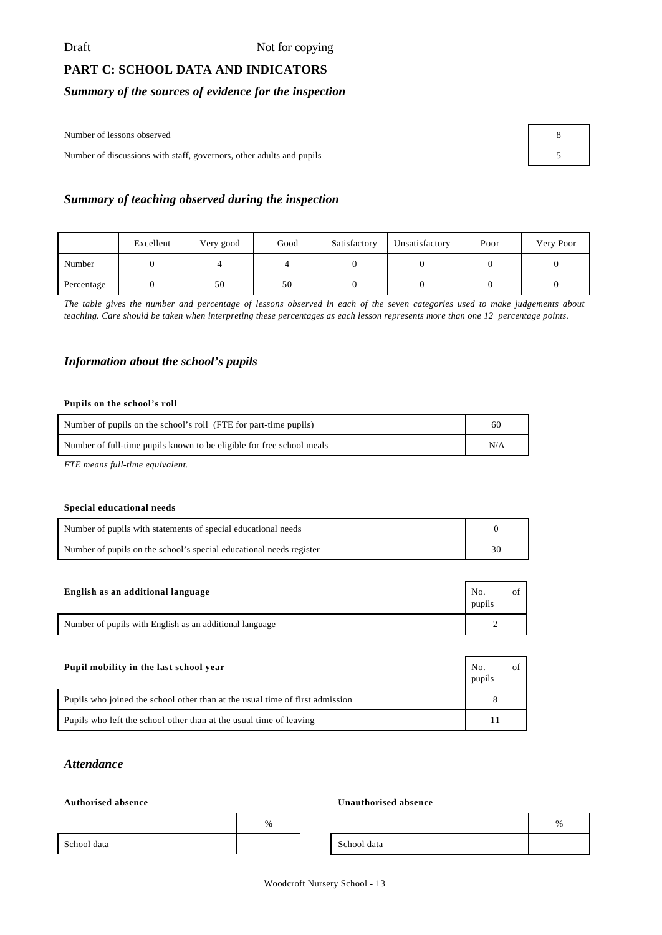# **PART C: SCHOOL DATA AND INDICATORS**

# *Summary of the sources of evidence for the inspection*

Number of lessons observed

Number of discussions with staff, governors, other adults and pupils 5

| 8 |  |
|---|--|
| 5 |  |

### *Summary of teaching observed during the inspection*

|            | Excellent | Very good | Good | Satisfactory | Unsatisfactory | Poor | Very Poor |
|------------|-----------|-----------|------|--------------|----------------|------|-----------|
| Number     |           |           |      |              |                |      |           |
| Percentage |           | 50        | 50   |              |                |      |           |

*The table gives the number and percentage of lessons observed in each of the seven categories used to make judgements about teaching. Care should be taken when interpreting these percentages as each lesson represents more than one 12 percentage points.*

#### *Information about the school's pupils*

#### **Pupils on the school's roll**

| Number of pupils on the school's roll (FTE for part-time pupils)      |  |
|-----------------------------------------------------------------------|--|
| Number of full-time pupils known to be eligible for free school meals |  |

*FTE means full-time equivalent.*

#### **Special educational needs**

| Number of pupils with statements of special educational needs       |    |
|---------------------------------------------------------------------|----|
| Number of pupils on the school's special educational needs register | 30 |

| English as an additional language                       | No.<br>pupils |  |
|---------------------------------------------------------|---------------|--|
| Number of pupils with English as an additional language |               |  |

| Pupil mobility in the last school year                                       | No.<br>pupils |  |
|------------------------------------------------------------------------------|---------------|--|
| Pupils who joined the school other than at the usual time of first admission |               |  |
| Pupils who left the school other than at the usual time of leaving           |               |  |

## *Attendance*

#### $Authorised absence$

|             | % |             | % |
|-------------|---|-------------|---|
| School data |   | School data |   |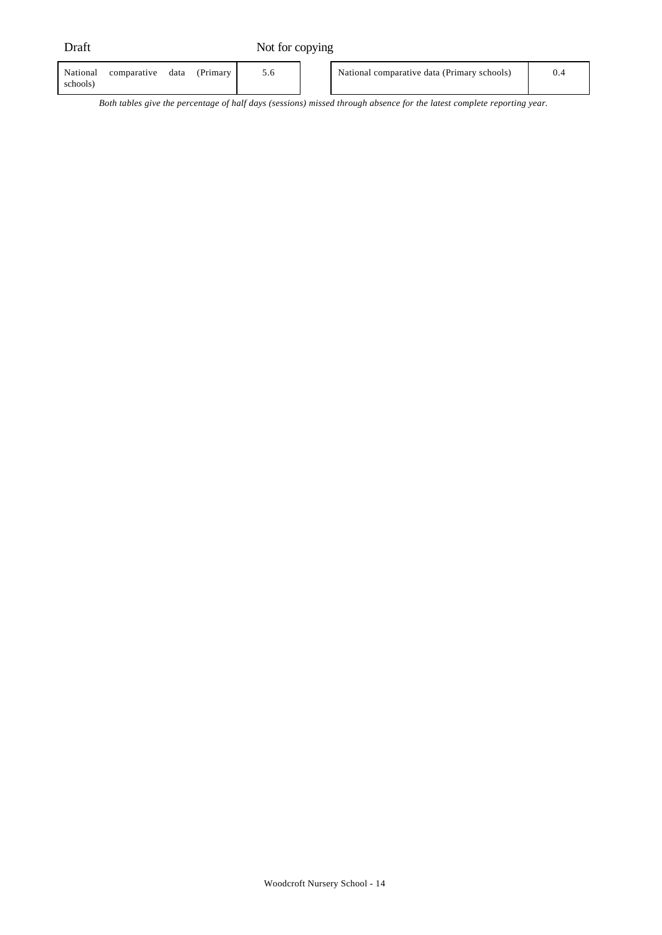| National<br>Primary<br>comparative<br>data<br>schools) |  | National comparative data (Primary schools) | 0.4 |
|--------------------------------------------------------|--|---------------------------------------------|-----|
|--------------------------------------------------------|--|---------------------------------------------|-----|

*Both tables give the percentage of half days (sessions) missed through absence for the latest complete reporting year.*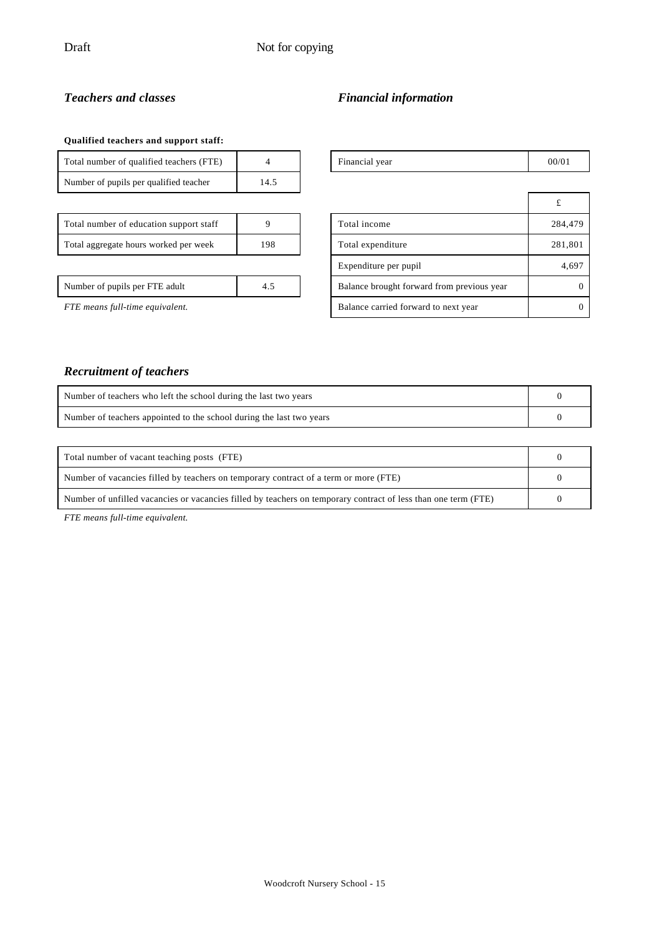# *Teachers and classes Financial information*

### **Qualified teachers and support staff:**

| Total number of qualified teachers (FTE) |      |
|------------------------------------------|------|
| Number of pupils per qualified teacher   | 14.5 |

| Total number of education support staff |     |
|-----------------------------------------|-----|
| Total aggregate hours worked per week   | 198 |

# Total number of  $\frac{1}{2}$  Financial year 00/01

| $\cdots$                                     |  |                                            |          |
|----------------------------------------------|--|--------------------------------------------|----------|
|                                              |  |                                            |          |
| Total number of education support staff      |  | Total income                               | 284,479  |
| Total aggregate hours worked per week<br>198 |  | Total expenditure                          | 281,801  |
|                                              |  | Expenditure per pupil                      | 4,697    |
| Number of pupils per FTE adult<br>4.5        |  | Balance brought forward from previous year | $\theta$ |
| FTE means full-time equivalent.              |  | Balance carried forward to next year       | $\Omega$ |

# *Recruitment of teachers*

| Number of teachers who left the school during the last two years     |  |
|----------------------------------------------------------------------|--|
| Number of teachers appointed to the school during the last two years |  |
|                                                                      |  |

| Total number of vacant teaching posts (FTE)                                                                    |  |
|----------------------------------------------------------------------------------------------------------------|--|
| Number of vacancies filled by teachers on temporary contract of a term or more (FTE)                           |  |
| Number of unfilled vacancies or vacancies filled by teachers on temporary contract of less than one term (FTE) |  |

*FTE means full-time equivalent.*